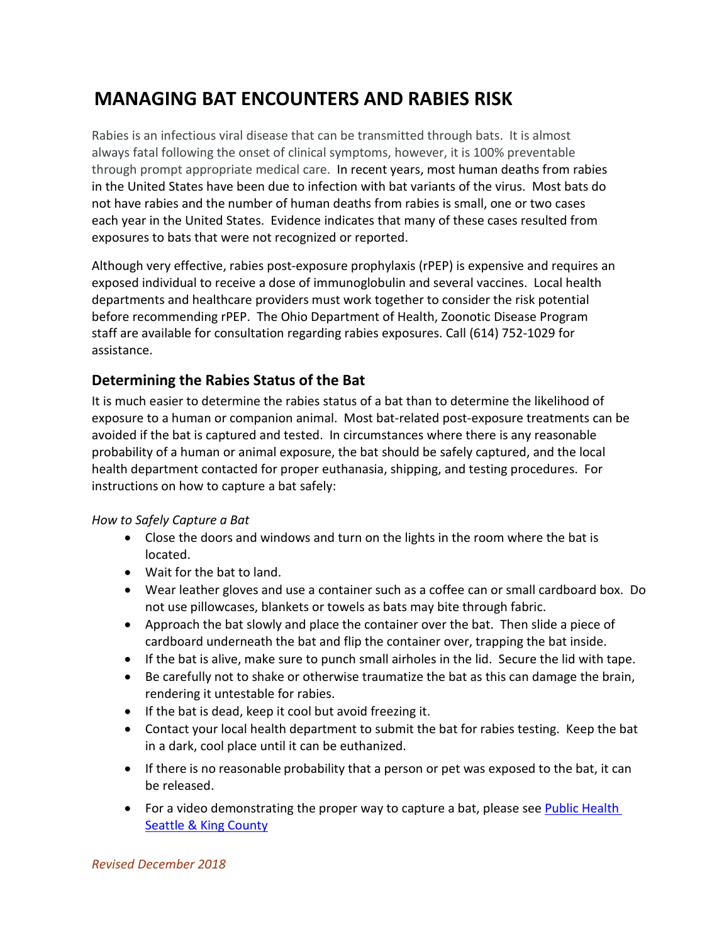# **MANAGING BAT ENCOUNTERS AND RABIES RISK**

Rabies is an infectious viral disease that can be transmitted through bats. It is almost always fatal following the onset of clinical symptoms, however, it is 100% preventable through prompt appropriate medical care. In recent years, most human deaths from rabies in the United States have been due to infection with bat variants of the virus. Most bats do not have rabies and the number of human deaths from rabies is small, one or two cases each year in the United States. Evidence indicates that many of these cases resulted from exposures to bats that were not recognized or reported.

Although very effective, rabies post-exposure prophylaxis (rPEP) is expensive and requires an exposed individual to receive a dose of immunoglobulin and several vaccines. Local health departments and healthcare providers must work together to consider the risk potential before recommending rPEP. The Ohio Department of Health, Zoonotic Disease Program staff are available for consultation regarding rabies exposures. Call (614) 752-1029 for assistance.

# **Determining the Rabies Status of the Bat**

It is much easier to determine the rabies status of a bat than to determine the likelihood of exposure to a human or companion animal. Most bat-related post-exposure treatments can be avoided if the bat is captured and tested. In circumstances where there is any reasonable probability of a human or animal exposure, the bat should be safely captured, and the local health department contacted for proper euthanasia, shipping, and testing procedures. For instructions on how to capture a bat safely:

#### *How to Safely Capture a Bat*

- Close the doors and windows and turn on the lights in the room where the bat is located.
- Wait for the bat to land.
- Wear leather gloves and use a container such as a coffee can or small cardboard box. Do not use pillowcases, blankets or towels as bats may bite through fabric.
- Approach the bat slowly and place the container over the bat. Then slide a piece of cardboard underneath the bat and flip the container over, trapping the bat inside.
- If the bat is alive, make sure to punch small airholes in the lid. Secure the lid with tape.
- Be carefully not to shake or otherwise traumatize the bat as this can damage the brain, rendering it untestable for rabies.
- If the bat is dead, keep it cool but avoid freezing it.
- Contact your local health department to submit the bat for rabies testing. Keep the bat in a dark, cool place until it can be euthanized.
- If there is no reasonable probability that a person or pet was exposed to the bat, it can be released.
- For a video demonstrating the proper way to capture a bat, please see Public Health [Seattle & King County](https://youtu.be/Fd8PMAc6T2c)

*Revised December 2018*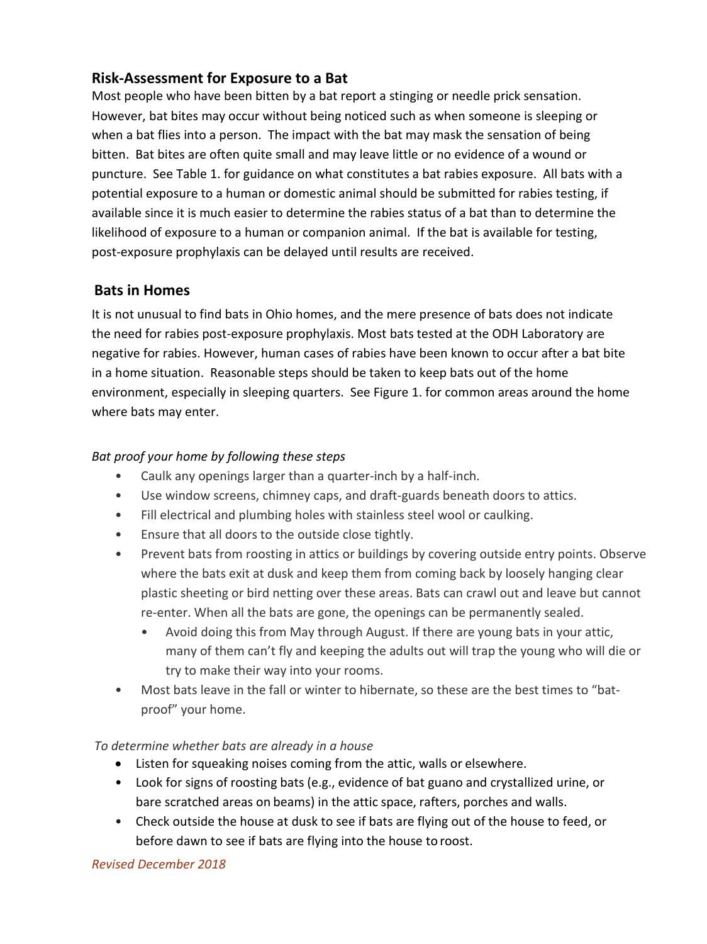# **Risk-Assessment for Exposure to a Bat**

Most people who have been bitten by a bat report a stinging or needle prick sensation. However, bat bites may occur without being noticed such as when someone is sleeping or when a bat flies into a person. The impact with the bat may mask the sensation of being bitten. Bat bites are often quite small and may leave little or no evidence of a wound or puncture. See Table 1. for guidance on what constitutes a bat rabies exposure. All bats with a potential exposure to a human or domestic animal should be submitted for rabies testing, if available since it is much easier to determine the rabies status of a bat than to determine the likelihood of exposure to a human or companion animal. If the bat is available for testing, post-exposure prophylaxis can be delayed until results are received.

# **Bats in Homes**

It is not unusual to find bats in Ohio homes, and the mere presence of bats does not indicate the need for rabies post-exposure prophylaxis. Most bats tested at the ODH Laboratory are negative for rabies. However, human cases of rabies have been known to occur after a bat bite in a home situation. Reasonable steps should be taken to keep bats out of the home environment, especially in sleeping quarters. See Figure 1. for common areas around the home where bats may enter.

#### *Bat proof your home by following these steps*

- Caulk any openings larger than a quarter-inch by a half-inch.
- Use window screens, chimney caps, and draft-guards beneath doors to attics.
- Fill electrical and plumbing holes with stainless steel wool or caulking.
- Ensure that all doors to the outside close tightly.
- Prevent bats from roosting in attics or buildings by covering outside entry points. Observe where the bats exit at dusk and keep them from coming back by loosely hanging clear plastic sheeting or bird netting over these areas. Bats can crawl out and leave but cannot re-enter. When all the bats are gone, the openings can be permanently sealed.
	- Avoid doing this from May through August. If there are young bats in your attic, many of them can't fly and keeping the adults out will trap the young who will die or try to make their way into your rooms.
- Most bats leave in the fall or winter to hibernate, so these are the best times to "batproof" your home.

#### *To determine whether bats are already in a house*

- Listen for squeaking noises coming from the attic, walls or elsewhere.
- Look for signs of roosting bats (e.g., evidence of bat guano and crystallized urine, or bare scratched areas on beams) in the attic space, rafters, porches and walls.
- Check outside the house at dusk to see if bats are flying out of the house to feed, or before dawn to see if bats are flying into the house to roost.

#### *Revised December 2018*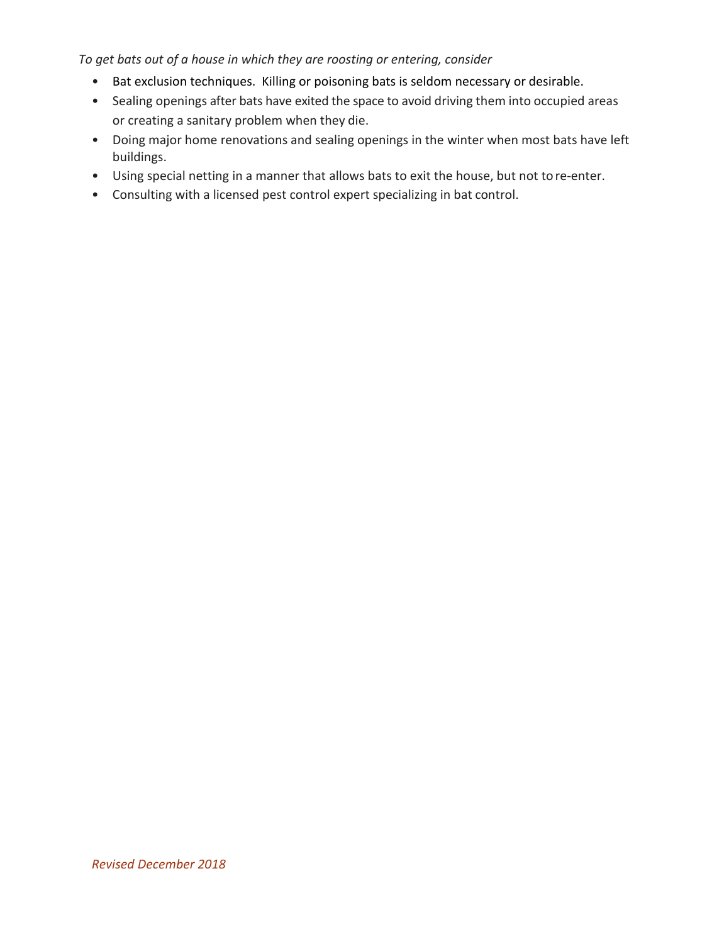*To get bats out of a house in which they are roosting or entering, consider*

- Bat exclusion techniques. Killing or poisoning bats is seldom necessary or desirable.
- Sealing openings after bats have exited the space to avoid driving them into occupied areas or creating a sanitary problem when they die.
- Doing major home renovations and sealing openings in the winter when most bats have left buildings.
- Using special netting in a manner that allows bats to exit the house, but not to re-enter.
- Consulting with a licensed pest control expert specializing in bat control.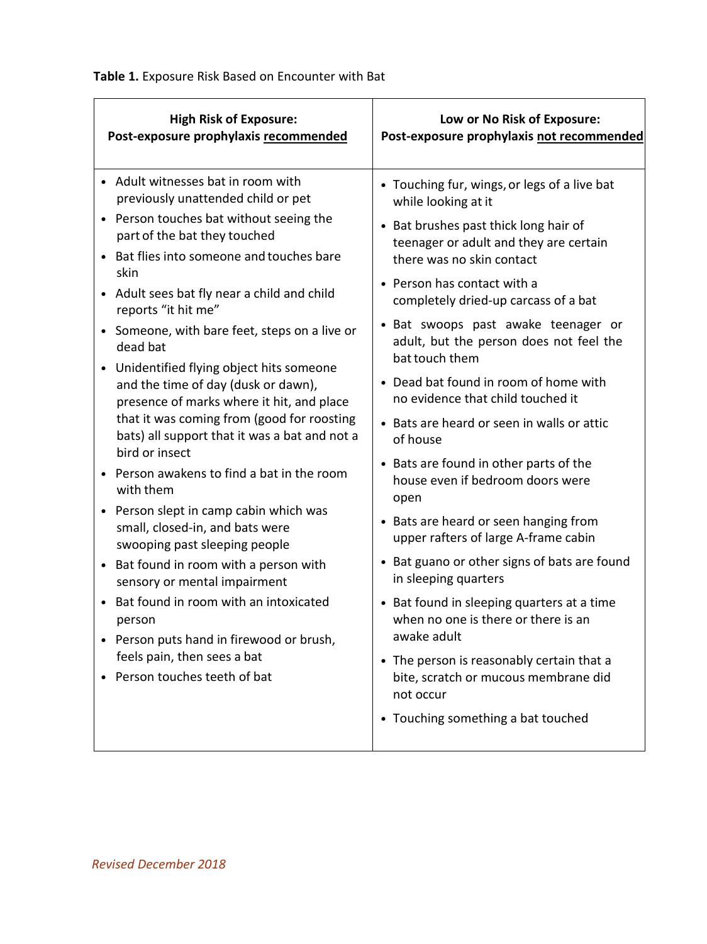$\overline{a}$ 

| <b>High Risk of Exposure:</b>                                                                                                                                                                                                                                                                                                                                                                                                                                                                                                                                                                                                                                                                                                                                                                                                                                                                                                                                                                                                                                             | Low or No Risk of Exposure:                                                                                                                                                                                                                                                                                                                                                                                                                                                                                                                                                                                                                                                                                                                                                                                                                                                                                                                                                                       |
|---------------------------------------------------------------------------------------------------------------------------------------------------------------------------------------------------------------------------------------------------------------------------------------------------------------------------------------------------------------------------------------------------------------------------------------------------------------------------------------------------------------------------------------------------------------------------------------------------------------------------------------------------------------------------------------------------------------------------------------------------------------------------------------------------------------------------------------------------------------------------------------------------------------------------------------------------------------------------------------------------------------------------------------------------------------------------|---------------------------------------------------------------------------------------------------------------------------------------------------------------------------------------------------------------------------------------------------------------------------------------------------------------------------------------------------------------------------------------------------------------------------------------------------------------------------------------------------------------------------------------------------------------------------------------------------------------------------------------------------------------------------------------------------------------------------------------------------------------------------------------------------------------------------------------------------------------------------------------------------------------------------------------------------------------------------------------------------|
| Post-exposure prophylaxis recommended                                                                                                                                                                                                                                                                                                                                                                                                                                                                                                                                                                                                                                                                                                                                                                                                                                                                                                                                                                                                                                     | Post-exposure prophylaxis not recommended                                                                                                                                                                                                                                                                                                                                                                                                                                                                                                                                                                                                                                                                                                                                                                                                                                                                                                                                                         |
| • Adult witnesses bat in room with<br>previously unattended child or pet<br>Person touches bat without seeing the<br>part of the bat they touched<br>Bat flies into someone and touches bare<br>$\bullet$<br>skin<br>Adult sees bat fly near a child and child<br>$\bullet$<br>reports "it hit me"<br>Someone, with bare feet, steps on a live or<br>dead bat<br>Unidentified flying object hits someone<br>$\bullet$<br>and the time of day (dusk or dawn),<br>presence of marks where it hit, and place<br>that it was coming from (good for roosting<br>bats) all support that it was a bat and not a<br>bird or insect<br>Person awakens to find a bat in the room<br>$\bullet$<br>with them<br>Person slept in camp cabin which was<br>$\bullet$<br>small, closed-in, and bats were<br>swooping past sleeping people<br>Bat found in room with a person with<br>$\bullet$<br>sensory or mental impairment<br>Bat found in room with an intoxicated<br>person<br>Person puts hand in firewood or brush,<br>feels pain, then sees a bat<br>Person touches teeth of bat | • Touching fur, wings, or legs of a live bat<br>while looking at it<br>• Bat brushes past thick long hair of<br>teenager or adult and they are certain<br>there was no skin contact<br>• Person has contact with a<br>completely dried-up carcass of a bat<br>• Bat swoops past awake teenager or<br>adult, but the person does not feel the<br>bat touch them<br>• Dead bat found in room of home with<br>no evidence that child touched it<br>• Bats are heard or seen in walls or attic<br>of house<br>• Bats are found in other parts of the<br>house even if bedroom doors were<br>open<br>• Bats are heard or seen hanging from<br>upper rafters of large A-frame cabin<br>• Bat guano or other signs of bats are found<br>in sleeping quarters<br>• Bat found in sleeping quarters at a time<br>when no one is there or there is an<br>awake adult<br>• The person is reasonably certain that a<br>bite, scratch or mucous membrane did<br>not occur<br>• Touching something a bat touched |